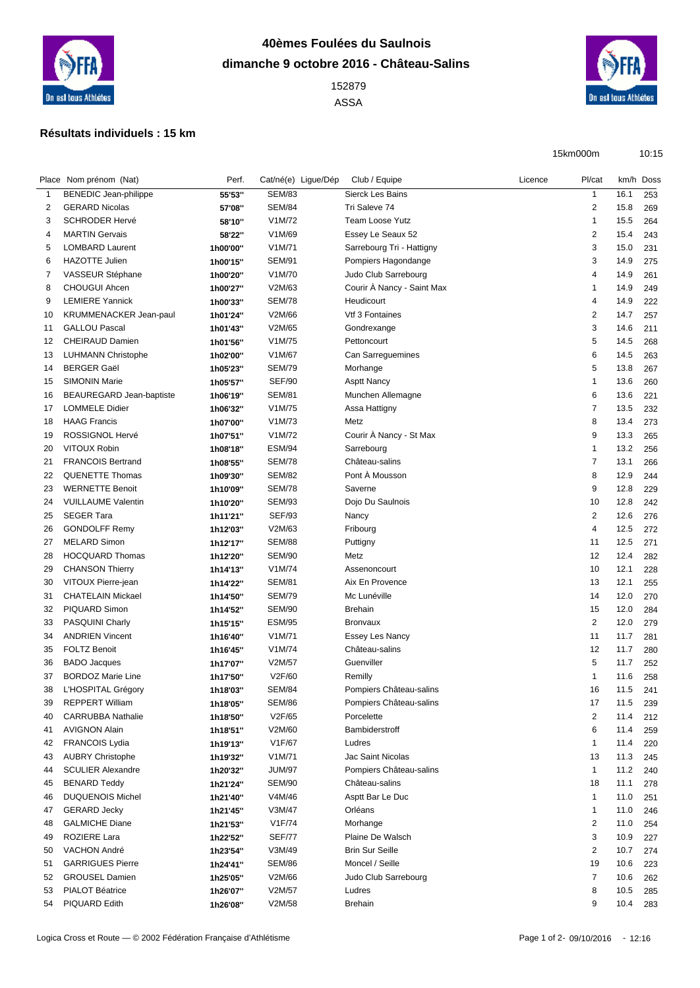

## **40èmes Foulées du Saulnois dimanche 9 octobre 2016 - Château-Salins**

 ASSA



15km000m 10:15

## **Résultats individuels : 15 km**

|    | Place Nom prénom (Nat)                         | Perf.    | Cat/né(e) Ligue/Dép | Club / Equipe                     | Licence | Pl/cat                  |      | km/h Doss  |
|----|------------------------------------------------|----------|---------------------|-----------------------------------|---------|-------------------------|------|------------|
| 1  | BENEDIC Jean-philippe                          | 55'53"   | <b>SEM/83</b>       | Sierck Les Bains                  |         | $\mathbf{1}$            | 16.1 | 253        |
| 2  | <b>GERARD Nicolas</b>                          | 57'08"   | <b>SEM/84</b>       | Tri Saleve 74                     |         | $\overline{2}$          | 15.8 | 269        |
| 3  | <b>SCHRODER Hervé</b>                          | 58'10"   | V1M/72              | <b>Team Loose Yutz</b>            |         | $\mathbf{1}$            | 15.5 | 264        |
| 4  | <b>MARTIN Gervais</b>                          | 58'22"   | V1M/69              | Essey Le Seaux 52                 |         | $\overline{2}$          | 15.4 | 243        |
| 5  | <b>LOMBARD Laurent</b>                         | 1h00'00" | V1M/71              | Sarrebourg Tri - Hattigny         |         | 3                       | 15.0 | 231        |
| 6  | <b>HAZOTTE Julien</b>                          | 1h00'15" | <b>SEM/91</b>       | Pompiers Hagondange               |         | 3                       | 14.9 | 275        |
| 7  | VASSEUR Stéphane                               | 1h00'20" | V1M/70              | Judo Club Sarrebourg              |         | 4                       | 14.9 | 261        |
| 8  | <b>CHOUGUI Ahcen</b>                           | 1h00'27" | V2M/63              | Courir À Nancy - Saint Max        |         | -1                      | 14.9 | 249        |
| 9  | <b>LEMIERE Yannick</b>                         | 1h00'33" | <b>SEM/78</b>       | Heudicourt                        |         | 4                       | 14.9 | 222        |
| 10 | <b>KRUMMENACKER Jean-paul</b>                  | 1h01'24" | V2M/66              | Vtf 3 Fontaines                   |         | $\overline{\mathbf{c}}$ | 14.7 | 257        |
| 11 | <b>GALLOU Pascal</b>                           | 1h01'43" | V2M/65              | Gondrexange                       |         | 3                       | 14.6 | 211        |
| 12 | CHEIRAUD Damien                                | 1h01'56" | V1M/75              | Pettoncourt                       |         | 5                       | 14.5 | 268        |
| 13 | <b>LUHMANN Christophe</b>                      | 1h02'00" | V1M/67              | Can Sarreguemines                 |         | 6                       | 14.5 | 263        |
| 14 | <b>BERGER Gaël</b>                             | 1h05'23" | <b>SEM/79</b>       | Morhange                          |         | 5                       | 13.8 | 267        |
| 15 | <b>SIMONIN Marie</b>                           | 1h05'57" | <b>SEF/90</b>       | <b>Asptt Nancy</b>                |         | -1                      | 13.6 | 260        |
| 16 | BEAUREGARD Jean-baptiste                       | 1h06'19" | <b>SEM/81</b>       | Munchen Allemagne                 |         | 6                       | 13.6 | 221        |
| 17 | <b>LOMMELE Didier</b>                          | 1h06'32" | V1M/75              | Assa Hattigny                     |         | $\overline{7}$          | 13.5 | 232        |
| 18 | <b>HAAG Francis</b>                            | 1h07'00" | V1M/73              | Metz                              |         | 8                       | 13.4 | 273        |
| 19 | <b>ROSSIGNOL Hervé</b>                         | 1h07'51" | V1M/72              | Courir A Nancy - St Max           |         | 9                       | 13.3 | 265        |
| 20 | VITOUX Robin                                   | 1h08'18" | <b>ESM/94</b>       | Sarrebourg                        |         | $\mathbf{1}$            | 13.2 | 256        |
| 21 | <b>FRANCOIS Bertrand</b>                       | 1h08'55" | <b>SEM/78</b>       | Château-salins                    |         | $\overline{7}$          | 13.1 | 266        |
| 22 | <b>QUENETTE Thomas</b>                         | 1h09'30" | <b>SEM/82</b>       | Pont À Mousson                    |         | 8                       | 12.9 | 244        |
| 23 | <b>WERNETTE Benoit</b>                         | 1h10'09" | <b>SEM/78</b>       | Saverne                           |         | 9                       | 12.8 | 229        |
| 24 | <b>VUILLAUME Valentin</b>                      | 1h10'20" | <b>SEM/93</b>       | Dojo Du Saulnois                  |         | 10                      | 12.8 | 242        |
| 25 | <b>SEGER Tara</b>                              | 1h11'21" | <b>SEF/93</b>       | Nancy                             |         | $\overline{\mathbf{c}}$ | 12.6 | 276        |
| 26 | <b>GONDOLFF Remy</b>                           | 1h12'03" | V2M/63              | Fribourg                          |         | 4                       | 12.5 | 272        |
| 27 | <b>MELARD Simon</b>                            | 1h12'17" | <b>SEM/88</b>       | Puttigny                          |         | 11                      | 12.5 | 271        |
| 28 | <b>HOCQUARD Thomas</b>                         |          | <b>SEM/90</b>       | Metz                              |         | 12                      | 12.4 |            |
|    |                                                | 1h12'20" | V1M/74              |                                   |         |                         | 12.1 | 282<br>228 |
| 29 | <b>CHANSON Thierry</b>                         | 1h14'13" | <b>SEM/81</b>       | Assenoncourt<br>Aix En Provence   |         | 10                      | 12.1 |            |
| 30 | VITOUX Pierre-jean<br><b>CHATELAIN Mickael</b> | 1h14'22" | <b>SEM/79</b>       | Mc Lunéville                      |         | 13<br>14                | 12.0 | 255        |
| 31 |                                                | 1h14'50" |                     |                                   |         |                         |      | 270        |
| 32 | PIQUARD Simon                                  | 1h14'52" | <b>SEM/90</b>       | <b>Brehain</b><br><b>Bronvaux</b> |         | 15                      | 12.0 | 284        |
| 33 | PASQUINI Charly                                | 1h15'15" | <b>ESM/95</b>       |                                   |         | $\overline{2}$          | 12.0 | 279        |
| 34 | <b>ANDRIEN Vincent</b>                         | 1h16'40" | V1M/71              | <b>Essey Les Nancy</b>            |         | 11                      | 11.7 | 281        |
| 35 | <b>FOLTZ Benoit</b>                            | 1h16'45" | V1M/74              | Château-salins                    |         | 12                      | 11.7 | 280        |
| 36 | <b>BADO</b> Jacques                            | 1h17'07" | V2M/57              | Guenviller                        |         | 5                       | 11.7 | 252        |
| 37 | <b>BORDOZ Marie Line</b>                       | 1h17'50" | V2F/60              | Remilly                           |         | -1                      | 11.6 | 258        |
| 38 | L'HOSPITAL Grégory                             | 1h18'03" | <b>SEM/84</b>       | Pompiers Château-salins           |         | 16                      | 11.5 | 241        |
| 39 | <b>REPPERT William</b>                         | 1h18'05" | <b>SEM/86</b>       | Pompiers Château-salins           |         | 17                      | 11.5 | 239        |
| 40 | <b>CARRUBBA Nathalie</b>                       | 1h18'50" | V2F/65              | Porcelette                        |         | $\overline{\mathbf{c}}$ | 11.4 | 212        |
| 41 | <b>AVIGNON Alain</b>                           | 1h18'51" | V2M/60              | Bambiderstroff                    |         | 6                       | 11.4 | 259        |
| 42 | <b>FRANCOIS Lydia</b>                          | 1h19'13" | V1F/67              | Ludres                            |         | $\mathbf{1}$            | 11.4 | 220        |
| 43 | <b>AUBRY Christophe</b>                        | 1h19'32" | V1M/71              | Jac Saint Nicolas                 |         | 13                      | 11.3 | 245        |
| 44 | <b>SCULIER Alexandre</b>                       | 1h20'32" | <b>JUM/97</b>       | Pompiers Château-salins           |         | $\mathbf{1}$            | 11.2 | 240        |
| 45 | <b>BENARD Teddy</b>                            | 1h21'24" | <b>SEM/90</b>       | Château-salins                    |         | 18                      | 11.1 | 278        |
| 46 | <b>DUQUENOIS Michel</b>                        | 1h21'40" | V4M/46              | Asptt Bar Le Duc                  |         | $\mathbf{1}$            | 11.0 | 251        |
| 47 | <b>GERARD Jecky</b>                            | 1h21'45" | V3M/47              | Orléans                           |         | $\mathbf 1$             | 11.0 | 246        |
| 48 | <b>GALMICHE Diane</b>                          | 1h21'53" | V1F/74              | Morhange                          |         | $\overline{c}$          | 11.0 | 254        |
| 49 | ROZIERE Lara                                   | 1h22'52" | <b>SEF/77</b>       | Plaine De Walsch                  |         | 3                       | 10.9 | 227        |
| 50 | VACHON André                                   | 1h23'54" | V3M/49              | <b>Brin Sur Seille</b>            |         | $\overline{\mathbf{c}}$ | 10.7 | 274        |
| 51 | <b>GARRIGUES Pierre</b>                        | 1h24'41" | <b>SEM/86</b>       | Moncel / Seille                   |         | 19                      | 10.6 | 223        |
| 52 | <b>GROUSEL Damien</b>                          | 1h25'05" | V2M/66              | Judo Club Sarrebourg              |         | $\overline{7}$          | 10.6 | 262        |
| 53 | PIALOT Béatrice                                | 1h26'07" | V2M/57              | Ludres                            |         | 8                       | 10.5 | 285        |
| 54 | PIQUARD Edith                                  | 1h26'08" | V2M/58              | Brehain                           |         | 9                       | 10.4 | 283        |